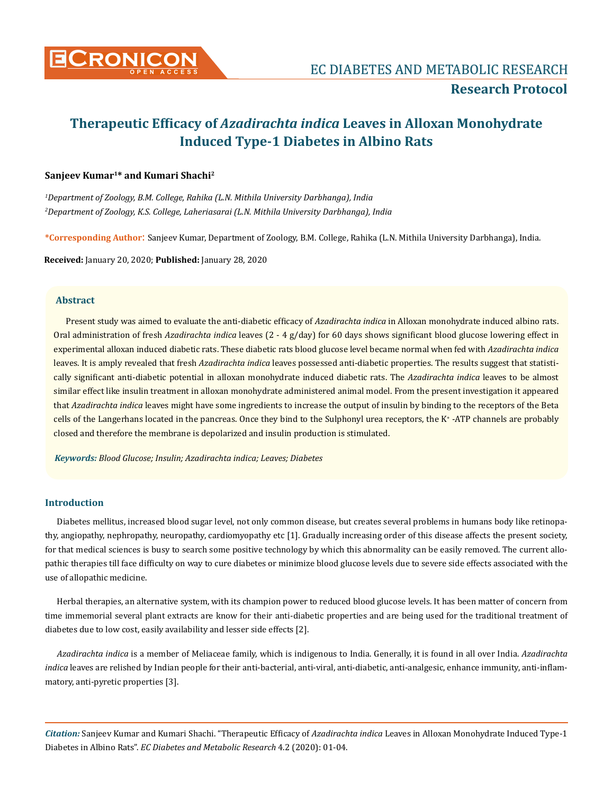

# **Therapeutic Efficacy of** *Azadirachta indica* **Leaves in Alloxan Monohydrate Induced Type-1 Diabetes in Albino Rats**

# **Sanjeev Kumar1\* and Kumari Shachi<sup>2</sup>**

*1 Department of Zoology, B.M. College, Rahika (L.N. Mithila University Darbhanga), India 2 Department of Zoology, K.S. College, Laheriasarai (L.N. Mithila University Darbhanga), India*

**\*Corresponding Author**: Sanjeev Kumar, Department of Zoology, B.M. College, Rahika (L.N. Mithila University Darbhanga), India.

**Received:** January 20, 2020; **Published:** January 28, 2020

## **Abstract**

Present study was aimed to evaluate the anti-diabetic efficacy of *Azadirachta indica* in Alloxan monohydrate induced albino rats. Oral administration of fresh *Azadirachta indica* leaves (2 - 4 g/day) for 60 days shows significant blood glucose lowering effect in experimental alloxan induced diabetic rats. These diabetic rats blood glucose level became normal when fed with *Azadirachta indica* leaves. It is amply revealed that fresh *Azadirachta indica* leaves possessed anti-diabetic properties. The results suggest that statistically significant anti-diabetic potential in alloxan monohydrate induced diabetic rats. The *Azadirachta indica* leaves to be almost similar effect like insulin treatment in alloxan monohydrate administered animal model. From the present investigation it appeared that *Azadirachta indica* leaves might have some ingredients to increase the output of insulin by binding to the receptors of the Beta cells of the Langerhans located in the pancreas. Once they bind to the Sulphonyl urea receptors, the K<sup>+</sup> -ATP channels are probably closed and therefore the membrane is depolarized and insulin production is stimulated.

*Keywords: Blood Glucose; Insulin; Azadirachta indica; Leaves; Diabetes*

# **Introduction**

Diabetes mellitus, increased blood sugar level, not only common disease, but creates several problems in humans body like retinopathy, angiopathy, nephropathy, neuropathy, cardiomyopathy etc [1]. Gradually increasing order of this disease affects the present society, for that medical sciences is busy to search some positive technology by which this abnormality can be easily removed. The current allopathic therapies till face difficulty on way to cure diabetes or minimize blood glucose levels due to severe side effects associated with the use of allopathic medicine.

Herbal therapies, an alternative system, with its champion power to reduced blood glucose levels. It has been matter of concern from time immemorial several plant extracts are know for their anti-diabetic properties and are being used for the traditional treatment of diabetes due to low cost, easily availability and lesser side effects [2].

*Azadirachta indica* is a member of Meliaceae family, which is indigenous to India. Generally, it is found in all over India. *Azadirachta indica* leaves are relished by Indian people for their anti-bacterial, anti-viral, anti-diabetic, anti-analgesic, enhance immunity, anti-inflammatory, anti-pyretic properties [3].

*Citation:* Sanjeev Kumar and Kumari Shachi. "Therapeutic Efficacy of *Azadirachta indica* Leaves in Alloxan Monohydrate Induced Type-1 Diabetes in Albino Rats". *EC Diabetes and Metabolic Research* 4.2 (2020): 01-04.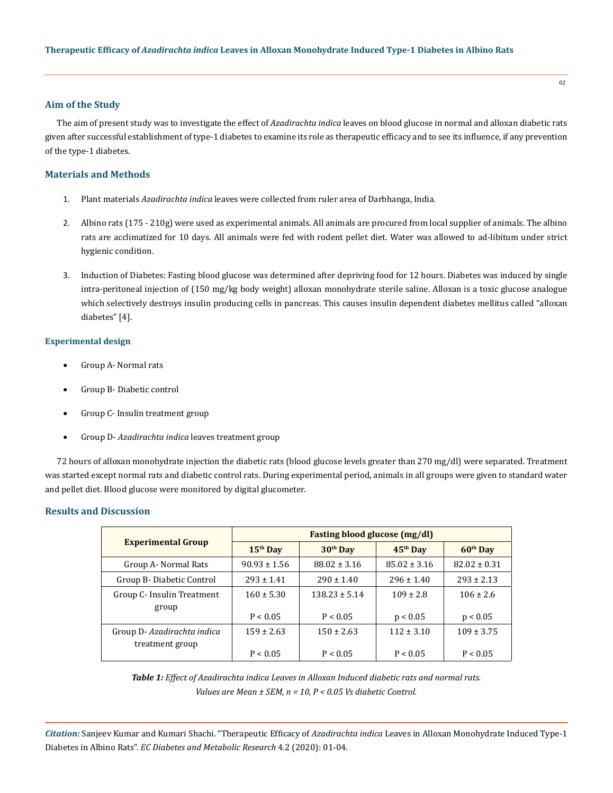## **Aim of the Study**

The aim of present study was to investigate the effect of *Azadirachta indica* leaves on blood glucose in normal and alloxan diabetic rats given after successful establishment of type-1 diabetes to examine its role as therapeutic efficacy and to see its influence, if any prevention of the type-1 diabetes.

## **Materials and Methods**

- 1. Plant materials *Azadirachta indica* leaves were collected from ruler area of Darbhanga, India.
- 2. Albino rats (175 210g) were used as experimental animals. All animals are procured from local supplier of animals. The albino rats are acclimatized for 10 days. All animals were fed with rodent pellet diet. Water was allowed to ad-libitum under strict hygienic condition.
- 3. Induction of Diabetes: Fasting blood glucose was determined after depriving food for 12 hours. Diabetes was induced by single intra-peritoneal injection of (150 mg/kg body weight) alloxan monohydrate sterile saline. Alloxan is a toxic glucose analogue which selectively destroys insulin producing cells in pancreas. This causes insulin dependent diabetes mellitus called "alloxan diabetes" [4].

#### **Experimental design**

- Group A- Normal rats
- Group B- Diabetic control
- Group C- Insulin treatment group
- Group D- Azadirachta *indica* leaves treatment group

72 hours of alloxan monohydrate injection the diabetic rats (blood glucose levels greater than 270 mg/dl) were separated. Treatment was started except normal rats and diabetic control rats. During experimental period, animals in all groups were given to standard water and pellet diet. Blood glucose were monitored by digital glucometer.

# **Results and Discussion**

| <b>Experimental Group</b>  | Fasting blood glucose (mg/dl) |                   |                  |                  |
|----------------------------|-------------------------------|-------------------|------------------|------------------|
|                            | $15th$ Day                    | $30th$ Day        | $45th$ Day       | $60th$ Day       |
| Group A- Normal Rats       | $90.93 \pm 1.56$              | $88.02 \pm 3.16$  | $85.02 \pm 3.16$ | $82.02 \pm 0.31$ |
| Group B-Diabetic Control   | $293 + 1.41$                  | $290 \pm 1.40$    | $296 \pm 1.40$   | $293 \pm 2.13$   |
| Group C- Insulin Treatment | $160 \pm 5.30$                | $138.23 \pm 5.14$ | $109 \pm 2.8$    | $106 \pm 2.6$    |
| group                      | P < 0.05                      | P < 0.05          | p < 0.05         | p < 0.05         |
| Group D-Azadirachta indica | $159 \pm 2.63$                | $150 \pm 2.63$    | $112 \pm 3.10$   | $109 \pm 3.75$   |
| treatment group            | P < 0.05                      | P < 0.05          | P < 0.05         | P < 0.05         |

*Table 1: Effect of Azadirachta indica Leaves in Alloxan Induced diabetic rats and normal rats. Values are Mean ± SEM, n = 10, P < 0.05 Vs diabetic Control.*

*Citation:* Sanjeev Kumar and Kumari Shachi. "Therapeutic Efficacy of *Azadirachta indica* Leaves in Alloxan Monohydrate Induced Type-1 Diabetes in Albino Rats". *EC Diabetes and Metabolic Research* 4.2 (2020): 01-04.

02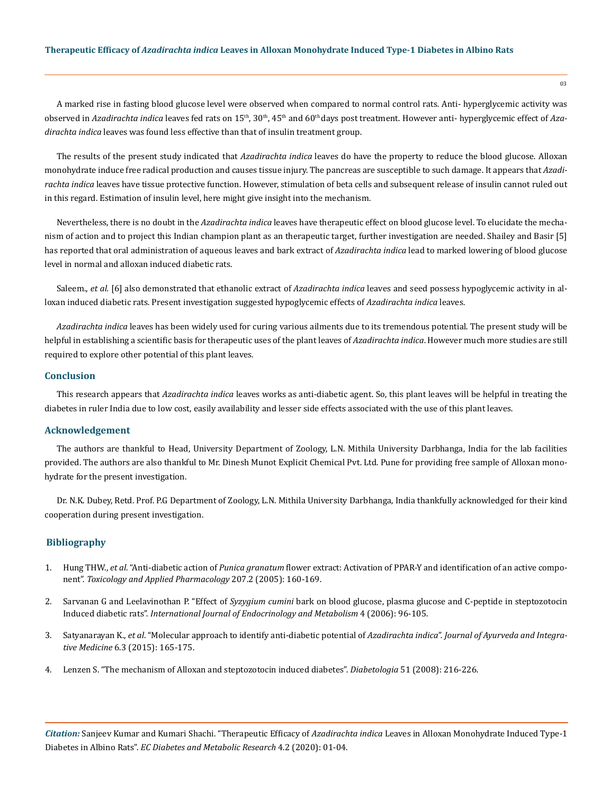A marked rise in fasting blood glucose level were observed when compared to normal control rats. Anti- hyperglycemic activity was observed in Azadirachta indica leaves fed rats on 15<sup>th</sup>, 30<sup>th</sup>, 45<sup>th</sup> and 60<sup>th</sup> days post treatment. However anti- hyperglycemic effect of Aza*dirachta indica* leaves was found less effective than that of insulin treatment group.

The results of the present study indicated that *Azadirachta indica* leaves do have the property to reduce the blood glucose. Alloxan monohydrate induce free radical production and causes tissue injury. The pancreas are susceptible to such damage. It appears that *Azadirachta indica* leaves have tissue protective function. However, stimulation of beta cells and subsequent release of insulin cannot ruled out in this regard. Estimation of insulin level, here might give insight into the mechanism.

Nevertheless, there is no doubt in the *Azadirachta indica* leaves have therapeutic effect on blood glucose level. To elucidate the mechanism of action and to project this Indian champion plant as an therapeutic target, further investigation are needed. Shailey and Basir [5] has reported that oral administration of aqueous leaves and bark extract of *Azadirachta indica* lead to marked lowering of blood glucose level in normal and alloxan induced diabetic rats.

Saleem., *et al.* [6] also demonstrated that ethanolic extract of *Azadirachta indica* leaves and seed possess hypoglycemic activity in alloxan induced diabetic rats. Present investigation suggested hypoglycemic effects of *Azadirachta indica* leaves.

*Azadirachta indica* leaves has been widely used for curing various ailments due to its tremendous potential. The present study will be helpful in establishing a scientific basis for therapeutic uses of the plant leaves of *Azadirachta indica*. However much more studies are still required to explore other potential of this plant leaves.

#### **Conclusion**

This research appears that *Azadirachta indica* leaves works as anti-diabetic agent. So, this plant leaves will be helpful in treating the diabetes in ruler India due to low cost, easily availability and lesser side effects associated with the use of this plant leaves.

#### **Acknowledgement**

The authors are thankful to Head, University Department of Zoology, L.N. Mithila University Darbhanga, India for the lab facilities provided. The authors are also thankful to Mr. Dinesh Munot Explicit Chemical Pvt. Ltd. Pune for providing free sample of Alloxan monohydrate for the present investigation.

Dr. N.K. Dubey, Retd. Prof. P.G Department of Zoology, L.N. Mithila University Darbhanga, India thankfully acknowledged for their kind cooperation during present investigation.

## **Bibliography**

- 1. Hung THW., *et al*. "Anti-diabetic action of *Punica granatum* [flower extract: Activation of PPAR-Y and identification of an active compo](https://www.researchgate.net/publication/255820219_Anti-diabetic_action_of_Punica_granatum_flower_extract_Activation_of_PPAR-g_and_identification_of_an_active_component)nent". *[Toxicology and Applied Pharmacology](https://www.researchgate.net/publication/255820219_Anti-diabetic_action_of_Punica_granatum_flower_extract_Activation_of_PPAR-g_and_identification_of_an_active_component)* 207.2 (2005): 160-169.
- 2. Sarvanan G and Leelavinothan P. "Effect of *Syzygium cumini* [bark on blood glucose, plasma glucose and C-peptide in steptozotocin](http://endometabol.com/en/articles/74968.html) Induced diabetic rats". *[International Journal of Endocrinology and Metabolism](http://endometabol.com/en/articles/74968.html)* 4 (2006): 96-105.
- 3. Satyanarayan K., *et al*[. "Molecular approach to identify anti-diabetic potential of](https://www.ncbi.nlm.nih.gov/pmc/articles/PMC4630690/) *Azadirachta indica*". *Journal of Ayurveda and Integrative Medicine* [6.3 \(2015\): 165-175.](https://www.ncbi.nlm.nih.gov/pmc/articles/PMC4630690/)
- 4. [Lenzen S. "The mechanism of Alloxan and steptozotocin induced diabetes".](https://www.ncbi.nlm.nih.gov/pubmed/18087688) *Diabetologia* 51 (2008): 216-226.

*Citation:* Sanjeev Kumar and Kumari Shachi. "Therapeutic Efficacy of *Azadirachta indica* Leaves in Alloxan Monohydrate Induced Type-1 Diabetes in Albino Rats". *EC Diabetes and Metabolic Research* 4.2 (2020): 01-04.

 $0<sup>3</sup>$